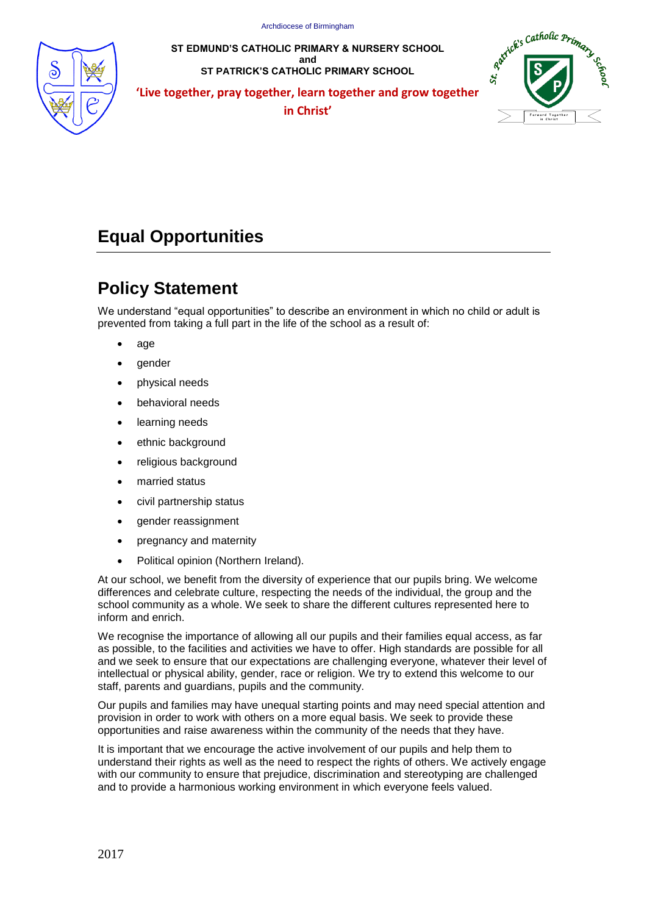

**ST EDMUND'S CATHOLIC PRIMARY & NURSERY SCHOOL and ST PATRICK'S CATHOLIC PRIMARY SCHOOL**



**'Live together, pray together, learn together and grow together in Christ' F**  $\overline{\phantom{a}}$  **F**  $\overline{\phantom{a}}$  **F**  $\overline{\phantom{a}}$  **F**  $\overline{\phantom{a}}$  **F**  $\overline{\phantom{a}}$  **F**  $\overline{\phantom{a}}$  **F**  $\overline{\phantom{a}}$  **F**  $\overline{\phantom{a}}$  **F**  $\overline{\phantom{a}}$  **F**  $\overline{\phantom{a}}$  **F**  $\overline{\phantom{a}}$  **F**  $\overline{\phantom{a}}$  **F**  $\overline{\phantom{a}}$ 

# **Equal Opportunities**

# **Policy Statement**

We understand "equal opportunities" to describe an environment in which no child or adult is prevented from taking a full part in the life of the school as a result of:

- age
- gender
- physical needs
- behavioral needs
- learning needs
- ethnic background
- religious background
- married status
- civil partnership status
- gender reassignment
- pregnancy and maternity
- Political opinion (Northern Ireland).

At our school, we benefit from the diversity of experience that our pupils bring. We welcome differences and celebrate culture, respecting the needs of the individual, the group and the school community as a whole. We seek to share the different cultures represented here to inform and enrich.

We recognise the importance of allowing all our pupils and their families equal access, as far as possible, to the facilities and activities we have to offer. High standards are possible for all and we seek to ensure that our expectations are challenging everyone, whatever their level of intellectual or physical ability, gender, race or religion. We try to extend this welcome to our staff, parents and guardians, pupils and the community.

Our pupils and families may have unequal starting points and may need special attention and provision in order to work with others on a more equal basis. We seek to provide these opportunities and raise awareness within the community of the needs that they have.

It is important that we encourage the active involvement of our pupils and help them to understand their rights as well as the need to respect the rights of others. We actively engage with our community to ensure that prejudice, discrimination and stereotyping are challenged and to provide a harmonious working environment in which everyone feels valued.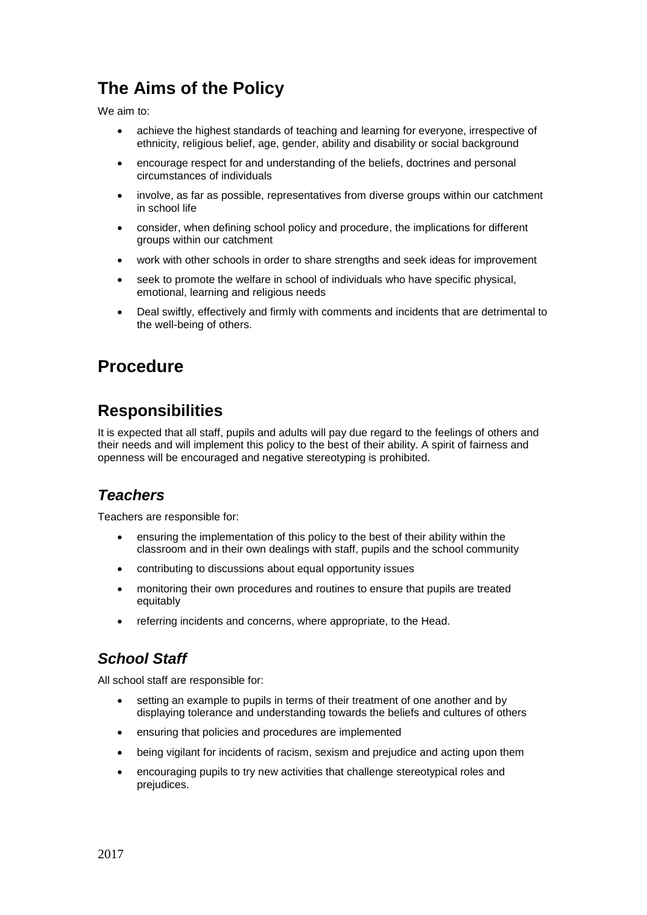# **The Aims of the Policy**

We aim to:

- achieve the highest standards of teaching and learning for everyone, irrespective of ethnicity, religious belief, age, gender, ability and disability or social background
- encourage respect for and understanding of the beliefs, doctrines and personal circumstances of individuals
- involve, as far as possible, representatives from diverse groups within our catchment in school life
- consider, when defining school policy and procedure, the implications for different groups within our catchment
- work with other schools in order to share strengths and seek ideas for improvement
- seek to promote the welfare in school of individuals who have specific physical, emotional, learning and religious needs
- Deal swiftly, effectively and firmly with comments and incidents that are detrimental to the well-being of others.

# **Procedure**

# **Responsibilities**

It is expected that all staff, pupils and adults will pay due regard to the feelings of others and their needs and will implement this policy to the best of their ability. A spirit of fairness and openness will be encouraged and negative stereotyping is prohibited.

### *Teachers*

Teachers are responsible for:

- ensuring the implementation of this policy to the best of their ability within the classroom and in their own dealings with staff, pupils and the school community
- contributing to discussions about equal opportunity issues
- monitoring their own procedures and routines to ensure that pupils are treated equitably
- referring incidents and concerns, where appropriate, to the Head.

### *School Staff*

All school staff are responsible for:

- setting an example to pupils in terms of their treatment of one another and by displaying tolerance and understanding towards the beliefs and cultures of others
- ensuring that policies and procedures are implemented
- being vigilant for incidents of racism, sexism and prejudice and acting upon them
- encouraging pupils to try new activities that challenge stereotypical roles and prejudices.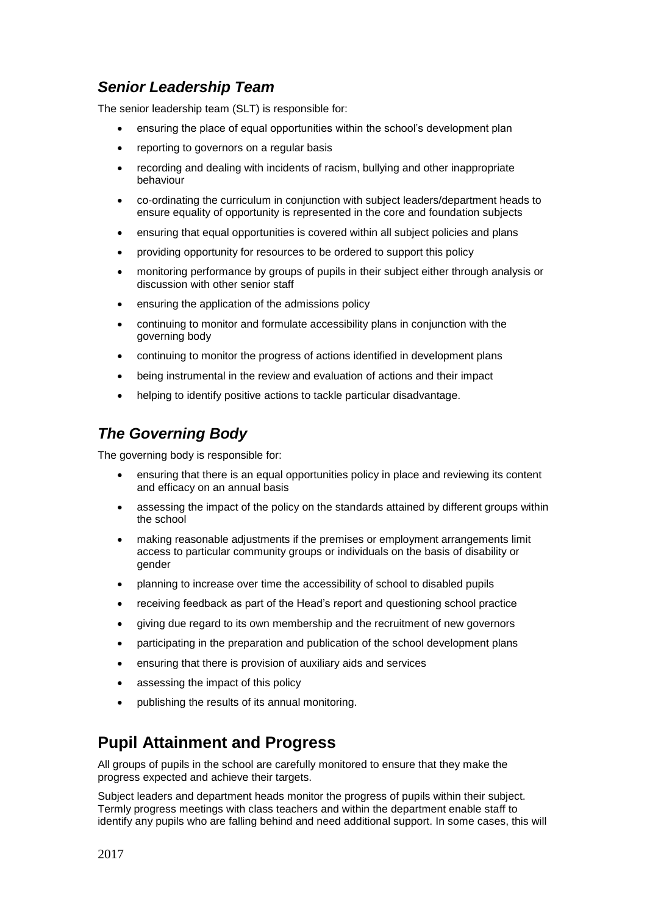### *Senior Leadership Team*

The senior leadership team (SLT) is responsible for:

- ensuring the place of equal opportunities within the school's development plan
- reporting to governors on a regular basis
- recording and dealing with incidents of racism, bullying and other inappropriate behaviour
- co-ordinating the curriculum in conjunction with subject leaders/department heads to ensure equality of opportunity is represented in the core and foundation subjects
- ensuring that equal opportunities is covered within all subject policies and plans
- providing opportunity for resources to be ordered to support this policy
- monitoring performance by groups of pupils in their subject either through analysis or discussion with other senior staff
- ensuring the application of the admissions policy
- continuing to monitor and formulate accessibility plans in conjunction with the governing body
- continuing to monitor the progress of actions identified in development plans
- being instrumental in the review and evaluation of actions and their impact
- helping to identify positive actions to tackle particular disadvantage.

### *The Governing Body*

The governing body is responsible for:

- ensuring that there is an equal opportunities policy in place and reviewing its content and efficacy on an annual basis
- assessing the impact of the policy on the standards attained by different groups within the school
- making reasonable adjustments if the premises or employment arrangements limit access to particular community groups or individuals on the basis of disability or gender
- planning to increase over time the accessibility of school to disabled pupils
- receiving feedback as part of the Head's report and questioning school practice
- giving due regard to its own membership and the recruitment of new governors
- participating in the preparation and publication of the school development plans
- ensuring that there is provision of auxiliary aids and services
- assessing the impact of this policy
- publishing the results of its annual monitoring.

# **Pupil Attainment and Progress**

All groups of pupils in the school are carefully monitored to ensure that they make the progress expected and achieve their targets.

Subject leaders and department heads monitor the progress of pupils within their subject. Termly progress meetings with class teachers and within the department enable staff to identify any pupils who are falling behind and need additional support. In some cases, this will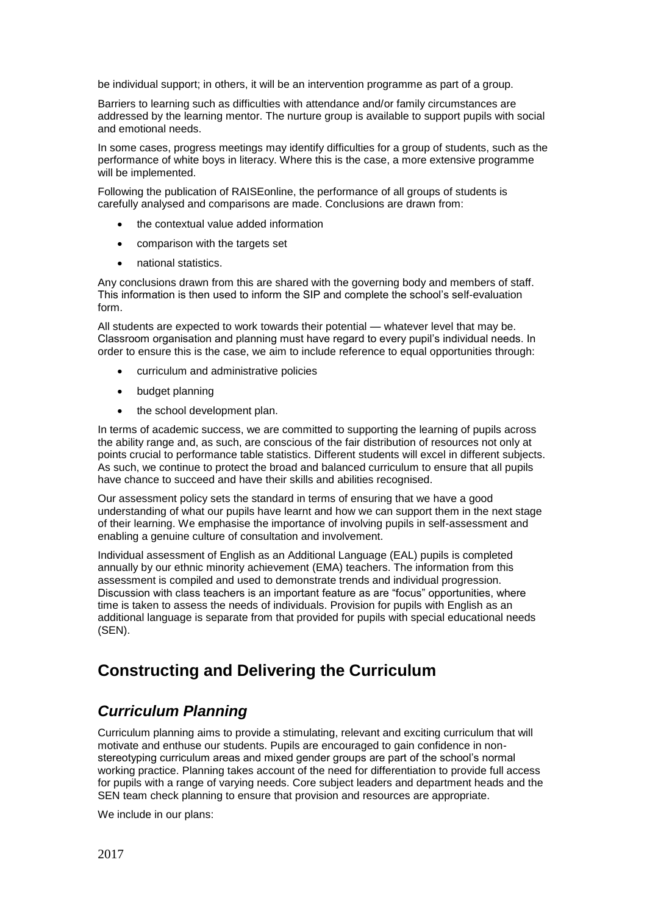be individual support; in others, it will be an intervention programme as part of a group.

Barriers to learning such as difficulties with attendance and/or family circumstances are addressed by the learning mentor. The nurture group is available to support pupils with social and emotional needs.

In some cases, progress meetings may identify difficulties for a group of students, such as the performance of white boys in literacy. Where this is the case, a more extensive programme will be implemented.

Following the publication of RAISEonline, the performance of all groups of students is carefully analysed and comparisons are made. Conclusions are drawn from:

- the contextual value added information
- comparison with the targets set
- national statistics.

Any conclusions drawn from this are shared with the governing body and members of staff. This information is then used to inform the SIP and complete the school's self-evaluation form.

All students are expected to work towards their potential — whatever level that may be. Classroom organisation and planning must have regard to every pupil's individual needs. In order to ensure this is the case, we aim to include reference to equal opportunities through:

- curriculum and administrative policies
- budget planning
- the school development plan.

In terms of academic success, we are committed to supporting the learning of pupils across the ability range and, as such, are conscious of the fair distribution of resources not only at points crucial to performance table statistics. Different students will excel in different subjects. As such, we continue to protect the broad and balanced curriculum to ensure that all pupils have chance to succeed and have their skills and abilities recognised.

Our assessment policy sets the standard in terms of ensuring that we have a good understanding of what our pupils have learnt and how we can support them in the next stage of their learning. We emphasise the importance of involving pupils in self-assessment and enabling a genuine culture of consultation and involvement.

Individual assessment of English as an Additional Language (EAL) pupils is completed annually by our ethnic minority achievement (EMA) teachers. The information from this assessment is compiled and used to demonstrate trends and individual progression. Discussion with class teachers is an important feature as are "focus" opportunities, where time is taken to assess the needs of individuals. Provision for pupils with English as an additional language is separate from that provided for pupils with special educational needs (SEN).

# **Constructing and Delivering the Curriculum**

#### *Curriculum Planning*

Curriculum planning aims to provide a stimulating, relevant and exciting curriculum that will motivate and enthuse our students. Pupils are encouraged to gain confidence in nonstereotyping curriculum areas and mixed gender groups are part of the school's normal working practice. Planning takes account of the need for differentiation to provide full access for pupils with a range of varying needs. Core subject leaders and department heads and the SEN team check planning to ensure that provision and resources are appropriate.

We include in our plans: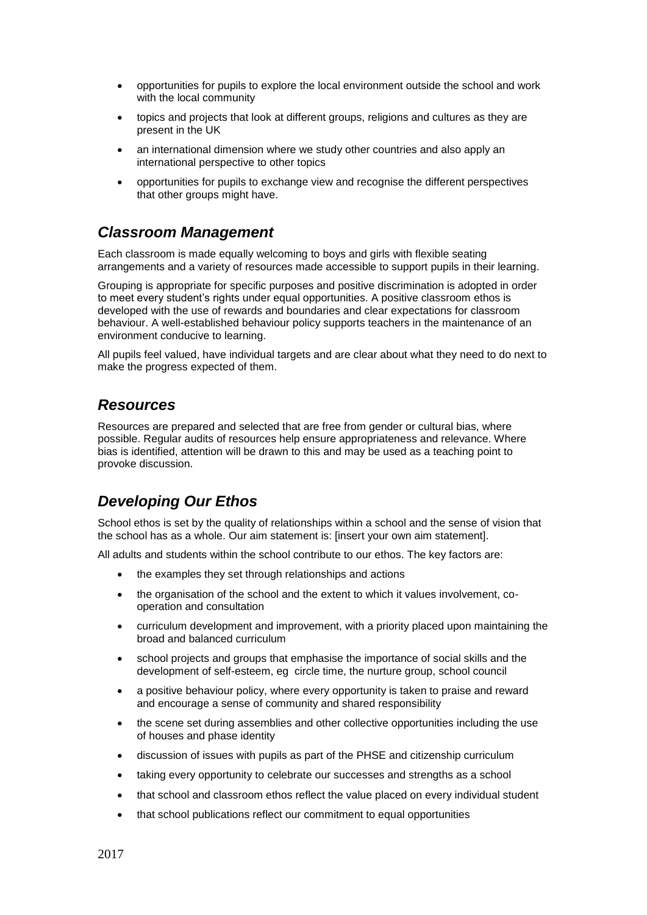- opportunities for pupils to explore the local environment outside the school and work with the local community
- topics and projects that look at different groups, religions and cultures as they are present in the UK
- an international dimension where we study other countries and also apply an international perspective to other topics
- opportunities for pupils to exchange view and recognise the different perspectives that other groups might have.

#### *Classroom Management*

Each classroom is made equally welcoming to boys and girls with flexible seating arrangements and a variety of resources made accessible to support pupils in their learning.

Grouping is appropriate for specific purposes and positive discrimination is adopted in order to meet every student's rights under equal opportunities. A positive classroom ethos is developed with the use of rewards and boundaries and clear expectations for classroom behaviour. A well-established behaviour policy supports teachers in the maintenance of an environment conducive to learning.

All pupils feel valued, have individual targets and are clear about what they need to do next to make the progress expected of them.

#### *Resources*

Resources are prepared and selected that are free from gender or cultural bias, where possible. Regular audits of resources help ensure appropriateness and relevance. Where bias is identified, attention will be drawn to this and may be used as a teaching point to provoke discussion.

#### *Developing Our Ethos*

School ethos is set by the quality of relationships within a school and the sense of vision that the school has as a whole. Our aim statement is: [insert your own aim statement].

All adults and students within the school contribute to our ethos. The key factors are:

- the examples they set through relationships and actions
- the organisation of the school and the extent to which it values involvement, cooperation and consultation
- curriculum development and improvement, with a priority placed upon maintaining the broad and balanced curriculum
- school projects and groups that emphasise the importance of social skills and the development of self-esteem, eg circle time, the nurture group, school council
- a positive behaviour policy, where every opportunity is taken to praise and reward and encourage a sense of community and shared responsibility
- the scene set during assemblies and other collective opportunities including the use of houses and phase identity
- discussion of issues with pupils as part of the PHSE and citizenship curriculum
- taking every opportunity to celebrate our successes and strengths as a school
- that school and classroom ethos reflect the value placed on every individual student
- that school publications reflect our commitment to equal opportunities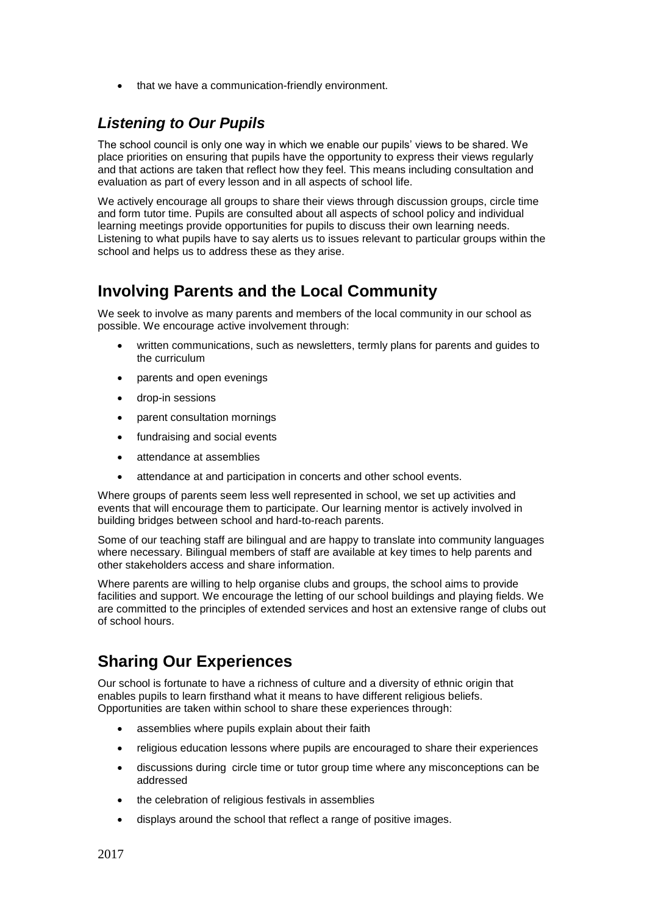that we have a communication-friendly environment.

### *Listening to Our Pupils*

The school council is only one way in which we enable our pupils' views to be shared. We place priorities on ensuring that pupils have the opportunity to express their views regularly and that actions are taken that reflect how they feel. This means including consultation and evaluation as part of every lesson and in all aspects of school life.

We actively encourage all groups to share their views through discussion groups, circle time and form tutor time. Pupils are consulted about all aspects of school policy and individual learning meetings provide opportunities for pupils to discuss their own learning needs. Listening to what pupils have to say alerts us to issues relevant to particular groups within the school and helps us to address these as they arise.

## **Involving Parents and the Local Community**

We seek to involve as many parents and members of the local community in our school as possible. We encourage active involvement through:

- written communications, such as newsletters, termly plans for parents and guides to the curriculum
- parents and open evenings
- drop-in sessions
- parent consultation mornings
- fundraising and social events
- attendance at assemblies
- attendance at and participation in concerts and other school events.

Where groups of parents seem less well represented in school, we set up activities and events that will encourage them to participate. Our learning mentor is actively involved in building bridges between school and hard-to-reach parents.

Some of our teaching staff are bilingual and are happy to translate into community languages where necessary. Bilingual members of staff are available at key times to help parents and other stakeholders access and share information.

Where parents are willing to help organise clubs and groups, the school aims to provide facilities and support. We encourage the letting of our school buildings and playing fields. We are committed to the principles of extended services and host an extensive range of clubs out of school hours.

# **Sharing Our Experiences**

Our school is fortunate to have a richness of culture and a diversity of ethnic origin that enables pupils to learn firsthand what it means to have different religious beliefs. Opportunities are taken within school to share these experiences through:

- assemblies where pupils explain about their faith
- religious education lessons where pupils are encouraged to share their experiences
- discussions during circle time or tutor group time where any misconceptions can be addressed
- the celebration of religious festivals in assemblies
- displays around the school that reflect a range of positive images.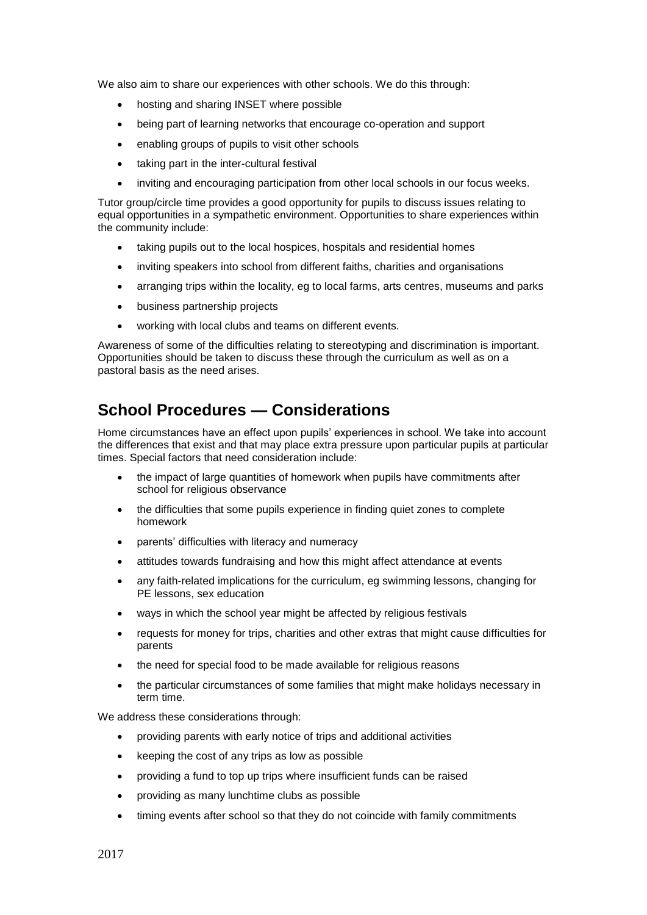We also aim to share our experiences with other schools. We do this through:

- hosting and sharing INSET where possible
- being part of learning networks that encourage co-operation and support
- enabling groups of pupils to visit other schools
- taking part in the inter-cultural festival
- inviting and encouraging participation from other local schools in our focus weeks.

Tutor group/circle time provides a good opportunity for pupils to discuss issues relating to equal opportunities in a sympathetic environment. Opportunities to share experiences within the community include:

- taking pupils out to the local hospices, hospitals and residential homes
- inviting speakers into school from different faiths, charities and organisations
- arranging trips within the locality, eg to local farms, arts centres, museums and parks
- business partnership projects
- working with local clubs and teams on different events.

Awareness of some of the difficulties relating to stereotyping and discrimination is important. Opportunities should be taken to discuss these through the curriculum as well as on a pastoral basis as the need arises.

## **School Procedures — Considerations**

Home circumstances have an effect upon pupils' experiences in school. We take into account the differences that exist and that may place extra pressure upon particular pupils at particular times. Special factors that need consideration include:

- the impact of large quantities of homework when pupils have commitments after school for religious observance
- the difficulties that some pupils experience in finding quiet zones to complete homework
- parents' difficulties with literacy and numeracy
- attitudes towards fundraising and how this might affect attendance at events
- any faith-related implications for the curriculum, eg swimming lessons, changing for PE lessons, sex education
- ways in which the school year might be affected by religious festivals
- requests for money for trips, charities and other extras that might cause difficulties for parents
- the need for special food to be made available for religious reasons
- the particular circumstances of some families that might make holidays necessary in term time.

We address these considerations through:

- providing parents with early notice of trips and additional activities
- keeping the cost of any trips as low as possible
- providing a fund to top up trips where insufficient funds can be raised
- providing as many lunchtime clubs as possible
- timing events after school so that they do not coincide with family commitments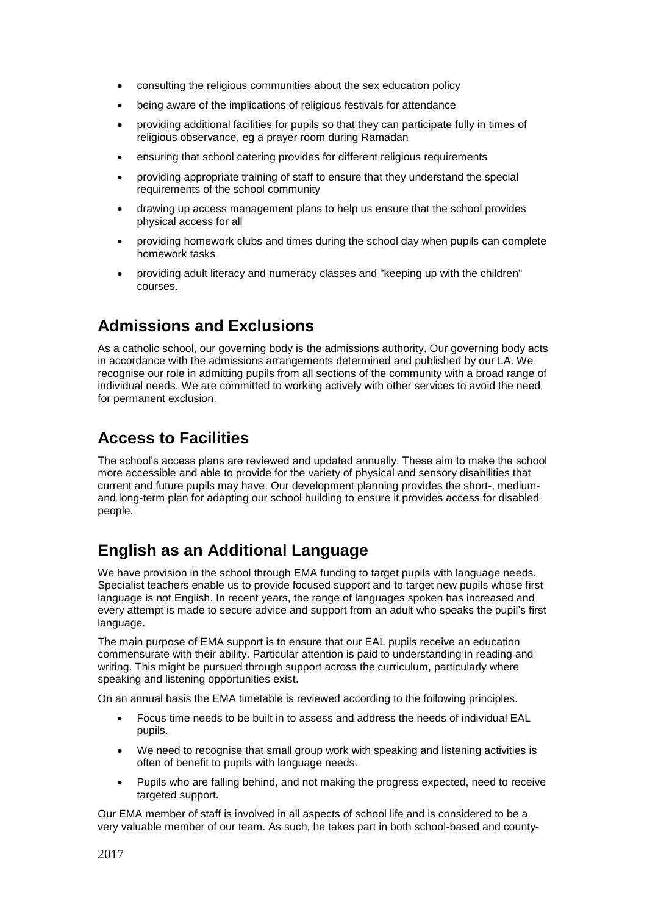- consulting the religious communities about the sex education policy
- being aware of the implications of religious festivals for attendance
- providing additional facilities for pupils so that they can participate fully in times of religious observance, eg a prayer room during Ramadan
- ensuring that school catering provides for different religious requirements
- providing appropriate training of staff to ensure that they understand the special requirements of the school community
- drawing up access management plans to help us ensure that the school provides physical access for all
- providing homework clubs and times during the school day when pupils can complete homework tasks
- providing adult literacy and numeracy classes and "keeping up with the children" courses.

## **Admissions and Exclusions**

As a catholic school, our governing body is the admissions authority. Our governing body acts in accordance with the admissions arrangements determined and published by our LA. We recognise our role in admitting pupils from all sections of the community with a broad range of individual needs. We are committed to working actively with other services to avoid the need for permanent exclusion.

# **Access to Facilities**

The school's access plans are reviewed and updated annually. These aim to make the school more accessible and able to provide for the variety of physical and sensory disabilities that current and future pupils may have. Our development planning provides the short-, mediumand long-term plan for adapting our school building to ensure it provides access for disabled people.

## **English as an Additional Language**

We have provision in the school through EMA funding to target pupils with language needs. Specialist teachers enable us to provide focused support and to target new pupils whose first language is not English. In recent years, the range of languages spoken has increased and every attempt is made to secure advice and support from an adult who speaks the pupil's first language.

The main purpose of EMA support is to ensure that our EAL pupils receive an education commensurate with their ability. Particular attention is paid to understanding in reading and writing. This might be pursued through support across the curriculum, particularly where speaking and listening opportunities exist.

On an annual basis the EMA timetable is reviewed according to the following principles.

- Focus time needs to be built in to assess and address the needs of individual EAL pupils.
- We need to recognise that small group work with speaking and listening activities is often of benefit to pupils with language needs.
- Pupils who are falling behind, and not making the progress expected, need to receive targeted support.

Our EMA member of staff is involved in all aspects of school life and is considered to be a very valuable member of our team. As such, he takes part in both school-based and county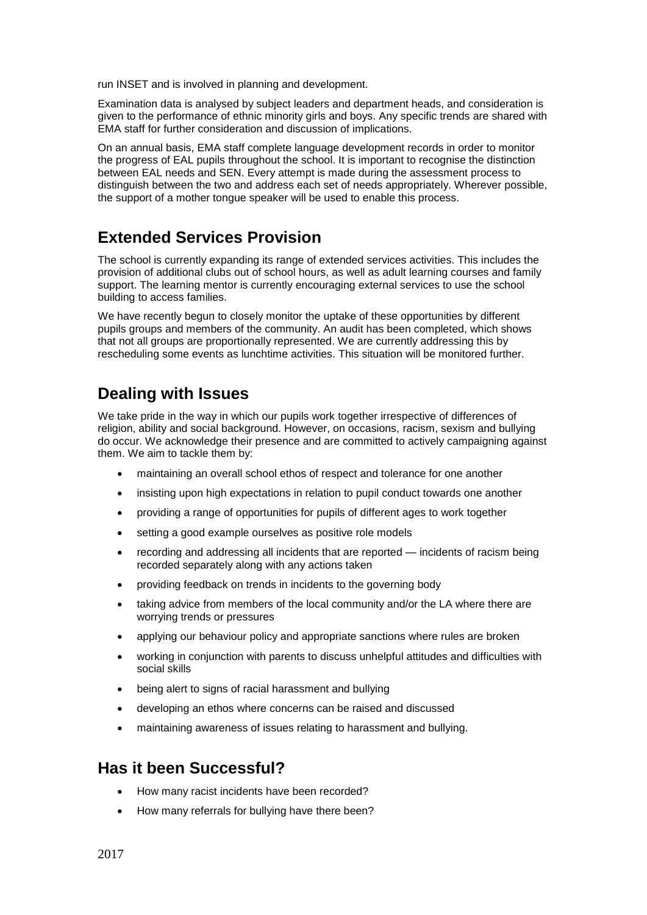run INSET and is involved in planning and development.

Examination data is analysed by subject leaders and department heads, and consideration is given to the performance of ethnic minority girls and boys. Any specific trends are shared with EMA staff for further consideration and discussion of implications.

On an annual basis, EMA staff complete language development records in order to monitor the progress of EAL pupils throughout the school. It is important to recognise the distinction between EAL needs and SEN. Every attempt is made during the assessment process to distinguish between the two and address each set of needs appropriately. Wherever possible, the support of a mother tongue speaker will be used to enable this process.

### **Extended Services Provision**

The school is currently expanding its range of extended services activities. This includes the provision of additional clubs out of school hours, as well as adult learning courses and family support. The learning mentor is currently encouraging external services to use the school building to access families.

We have recently begun to closely monitor the uptake of these opportunities by different pupils groups and members of the community. An audit has been completed, which shows that not all groups are proportionally represented. We are currently addressing this by rescheduling some events as lunchtime activities. This situation will be monitored further.

### **Dealing with Issues**

We take pride in the way in which our pupils work together irrespective of differences of religion, ability and social background. However, on occasions, racism, sexism and bullying do occur. We acknowledge their presence and are committed to actively campaigning against them. We aim to tackle them by:

- maintaining an overall school ethos of respect and tolerance for one another
- insisting upon high expectations in relation to pupil conduct towards one another
- providing a range of opportunities for pupils of different ages to work together
- setting a good example ourselves as positive role models
- recording and addressing all incidents that are reported incidents of racism being recorded separately along with any actions taken
- providing feedback on trends in incidents to the governing body
- taking advice from members of the local community and/or the LA where there are worrying trends or pressures
- applying our behaviour policy and appropriate sanctions where rules are broken
- working in conjunction with parents to discuss unhelpful attitudes and difficulties with social skills
- being alert to signs of racial harassment and bullying
- developing an ethos where concerns can be raised and discussed
- maintaining awareness of issues relating to harassment and bullying.

## **Has it been Successful?**

- How many racist incidents have been recorded?
- How many referrals for bullying have there been?